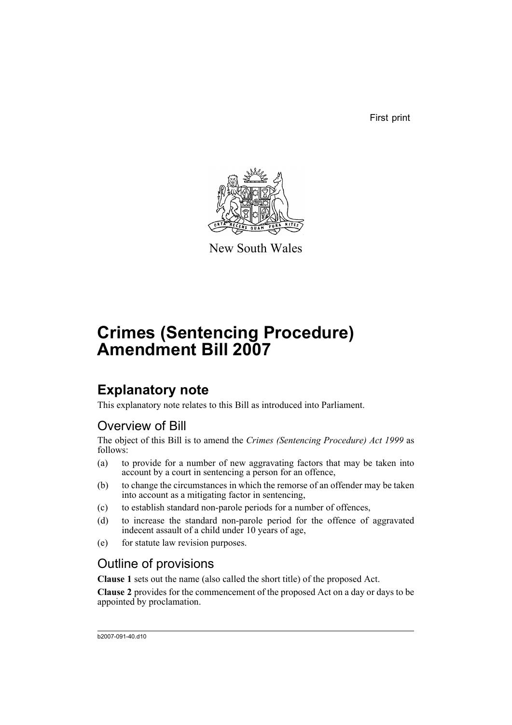First print



New South Wales

# **Crimes (Sentencing Procedure) Amendment Bill 2007**

## **Explanatory note**

This explanatory note relates to this Bill as introduced into Parliament.

### Overview of Bill

The object of this Bill is to amend the *Crimes (Sentencing Procedure) Act 1999* as follows:

- (a) to provide for a number of new aggravating factors that may be taken into account by a court in sentencing a person for an offence,
- (b) to change the circumstances in which the remorse of an offender may be taken into account as a mitigating factor in sentencing,
- (c) to establish standard non-parole periods for a number of offences,
- (d) to increase the standard non-parole period for the offence of aggravated indecent assault of a child under 10 years of age,
- (e) for statute law revision purposes.

## Outline of provisions

**Clause 1** sets out the name (also called the short title) of the proposed Act.

**Clause 2** provides for the commencement of the proposed Act on a day or days to be appointed by proclamation.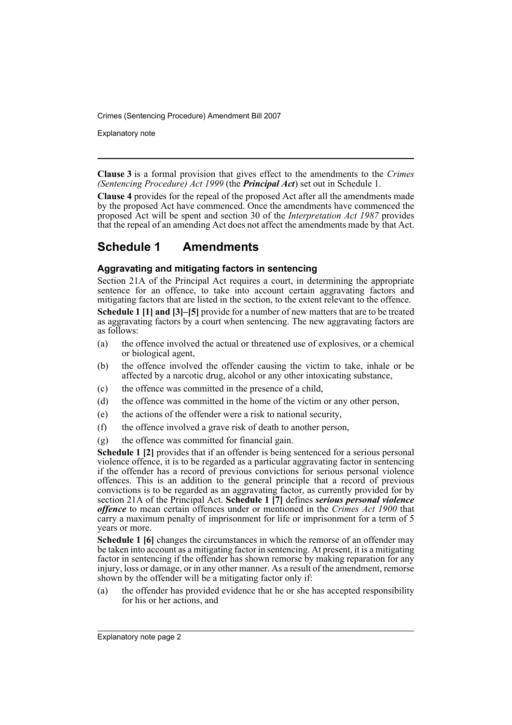Explanatory note

**Clause 3** is a formal provision that gives effect to the amendments to the *Crimes (Sentencing Procedure) Act 1999* (the *Principal Act*) set out in Schedule 1.

**Clause 4** provides for the repeal of the proposed Act after all the amendments made by the proposed Act have commenced. Once the amendments have commenced the proposed Act will be spent and section 30 of the *Interpretation Act 1987* provides that the repeal of an amending Act does not affect the amendments made by that Act.

### **Schedule 1 Amendments**

### **Aggravating and mitigating factors in sentencing**

Section 21A of the Principal Act requires a court, in determining the appropriate sentence for an offence, to take into account certain aggravating factors and mitigating factors that are listed in the section, to the extent relevant to the offence.

**Schedule 1 [1] and [3]–[5]** provide for a number of new matters that are to be treated as aggravating factors by a court when sentencing. The new aggravating factors are as follows:

- (a) the offence involved the actual or threatened use of explosives, or a chemical or biological agent,
- (b) the offence involved the offender causing the victim to take, inhale or be affected by a narcotic drug, alcohol or any other intoxicating substance,
- (c) the offence was committed in the presence of a child,
- (d) the offence was committed in the home of the victim or any other person,
- (e) the actions of the offender were a risk to national security,
- (f) the offence involved a grave risk of death to another person,
- (g) the offence was committed for financial gain.

**Schedule 1 [2]** provides that if an offender is being sentenced for a serious personal violence offence, it is to be regarded as a particular aggravating factor in sentencing if the offender has a record of previous convictions for serious personal violence offences. This is an addition to the general principle that a record of previous convictions is to be regarded as an aggravating factor, as currently provided for by section 21A of the Principal Act. **Schedule 1 [7]** defines *serious personal violence offence* to mean certain offences under or mentioned in the *Crimes Act 1900* that carry a maximum penalty of imprisonment for life or imprisonment for a term of 5 years or more.

**Schedule 1 [6]** changes the circumstances in which the remorse of an offender may be taken into account as a mitigating factor in sentencing. At present, it is a mitigating factor in sentencing if the offender has shown remorse by making reparation for any injury, loss or damage, or in any other manner. As a result of the amendment, remorse shown by the offender will be a mitigating factor only if:

(a) the offender has provided evidence that he or she has accepted responsibility for his or her actions, and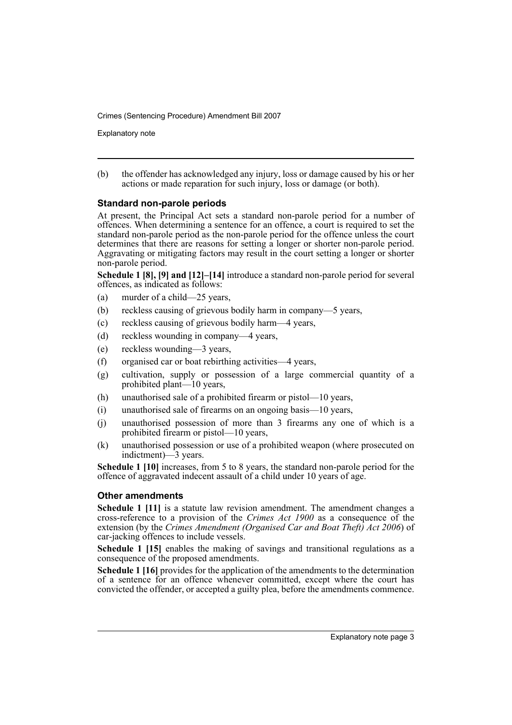Explanatory note

(b) the offender has acknowledged any injury, loss or damage caused by his or her actions or made reparation for such injury, loss or damage (or both).

### **Standard non-parole periods**

At present, the Principal Act sets a standard non-parole period for a number of offences. When determining a sentence for an offence, a court is required to set the standard non-parole period as the non-parole period for the offence unless the court determines that there are reasons for setting a longer or shorter non-parole period. Aggravating or mitigating factors may result in the court setting a longer or shorter non-parole period.

**Schedule 1 [8], [9] and [12]–[14]** introduce a standard non-parole period for several offences, as indicated as follows:

- (a) murder of a child—25 years,
- (b) reckless causing of grievous bodily harm in company—5 years,
- (c) reckless causing of grievous bodily harm—4 years,
- (d) reckless wounding in company—4 years,
- (e) reckless wounding—3 years,
- (f) organised car or boat rebirthing activities—4 years,
- (g) cultivation, supply or possession of a large commercial quantity of a prohibited plant—10 years,
- (h) unauthorised sale of a prohibited firearm or pistol—10 years,
- (i) unauthorised sale of firearms on an ongoing basis—10 years,
- (j) unauthorised possession of more than 3 firearms any one of which is a prohibited firearm or pistol—10 years,
- (k) unauthorised possession or use of a prohibited weapon (where prosecuted on indictment)—3 years.

**Schedule 1 [10]** increases, from 5 to 8 years, the standard non-parole period for the offence of aggravated indecent assault of a child under 10 years of age.

### **Other amendments**

**Schedule 1 [11]** is a statute law revision amendment. The amendment changes a cross-reference to a provision of the *Crimes Act 1900* as a consequence of the extension (by the *Crimes Amendment (Organised Car and Boat Theft) Act 2006*) of car-jacking offences to include vessels.

**Schedule 1 [15]** enables the making of savings and transitional regulations as a consequence of the proposed amendments.

**Schedule 1 [16]** provides for the application of the amendments to the determination of a sentence for an offence whenever committed, except where the court has convicted the offender, or accepted a guilty plea, before the amendments commence.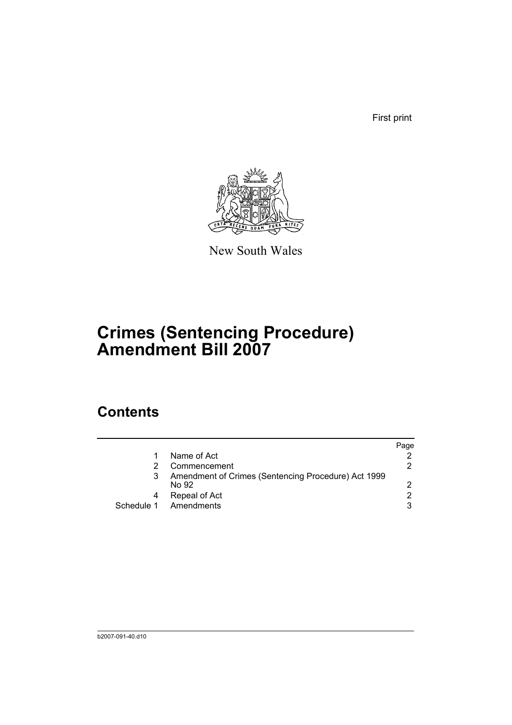First print



New South Wales

# **Crimes (Sentencing Procedure) Amendment Bill 2007**

## **Contents**

|   |                                                              | Page          |
|---|--------------------------------------------------------------|---------------|
|   | Name of Act                                                  |               |
|   | Commencement                                                 | 2             |
|   | Amendment of Crimes (Sentencing Procedure) Act 1999<br>No 92 | 2             |
| 4 | Repeal of Act                                                | $\mathcal{P}$ |
|   | Schedule 1 Amendments                                        | 3             |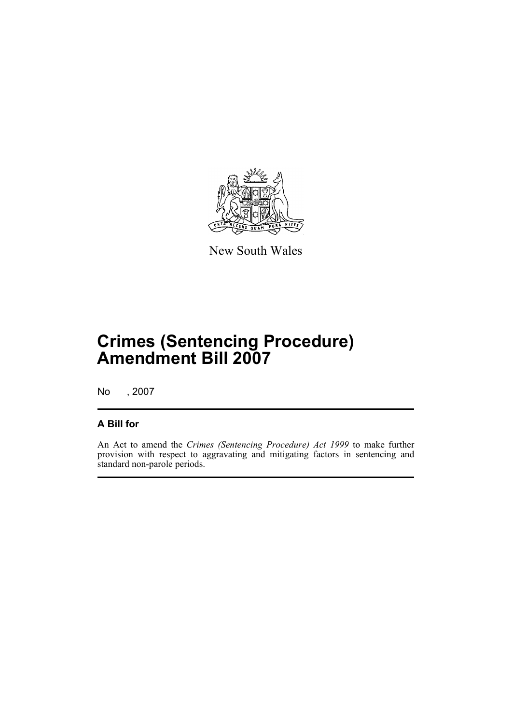

New South Wales

# **Crimes (Sentencing Procedure) Amendment Bill 2007**

No , 2007

### **A Bill for**

An Act to amend the *Crimes (Sentencing Procedure) Act 1999* to make further provision with respect to aggravating and mitigating factors in sentencing and standard non-parole periods.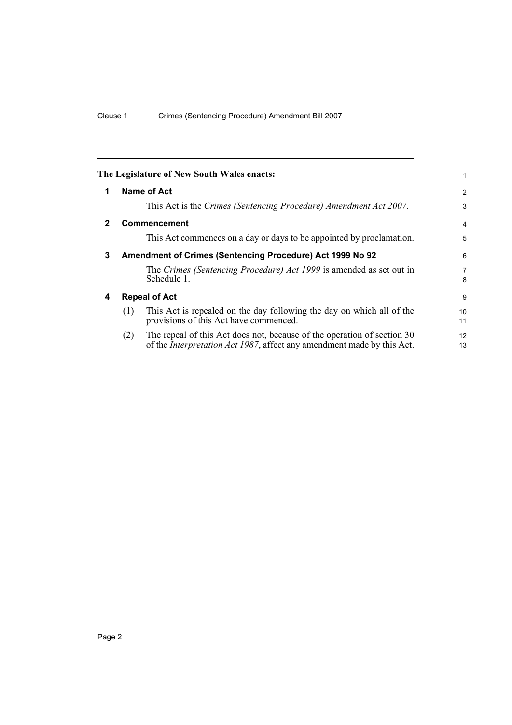<span id="page-7-3"></span><span id="page-7-2"></span><span id="page-7-1"></span><span id="page-7-0"></span>

|              |     | The Legislature of New South Wales enacts:                                                                                                                | 1              |
|--------------|-----|-----------------------------------------------------------------------------------------------------------------------------------------------------------|----------------|
| 1            |     | Name of Act                                                                                                                                               | $\overline{2}$ |
|              |     | This Act is the Crimes (Sentencing Procedure) Amendment Act 2007.                                                                                         | 3              |
| $\mathbf{2}$ |     | <b>Commencement</b>                                                                                                                                       | 4              |
|              |     | This Act commences on a day or days to be appointed by proclamation.                                                                                      | 5              |
| 3            |     | Amendment of Crimes (Sentencing Procedure) Act 1999 No 92                                                                                                 | 6              |
|              |     | The Crimes (Sentencing Procedure) Act 1999 is amended as set out in<br>Schedule 1.                                                                        | 7<br>8         |
| 4            |     | <b>Repeal of Act</b>                                                                                                                                      | 9              |
|              | (1) | This Act is repealed on the day following the day on which all of the<br>provisions of this Act have commenced.                                           | 10<br>11       |
|              | (2) | The repeal of this Act does not, because of the operation of section 30<br>of the <i>Interpretation Act 1987</i> , affect any amendment made by this Act. | 12<br>13       |
|              |     |                                                                                                                                                           |                |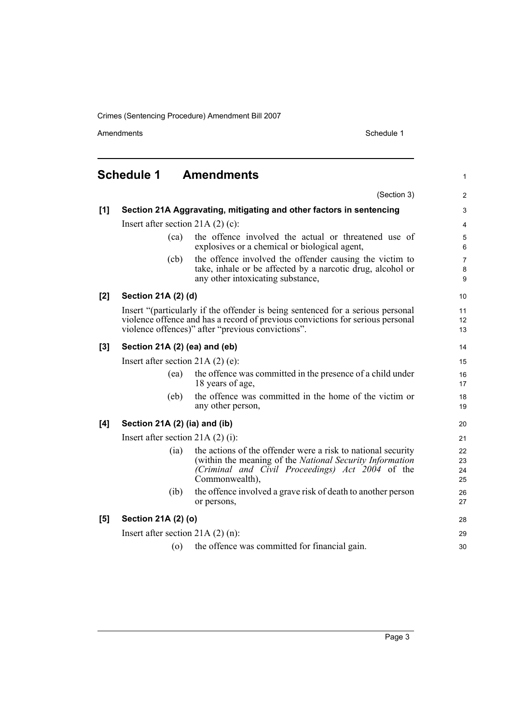Amendments **Amendments** Schedule 1

1

28 29 30

### <span id="page-8-0"></span>**Schedule 1 Amendments** (Section 3) **[1] Section 21A Aggravating, mitigating and other factors in sentencing** Insert after section 21A (2) (c): (ca) the offence involved the actual or threatened use of explosives or a chemical or biological agent, (cb) the offence involved the offender causing the victim to take, inhale or be affected by a narcotic drug, alcohol or any other intoxicating substance, **[2] Section 21A (2) (d)** Insert "(particularly if the offender is being sentenced for a serious personal violence offence and has a record of previous convictions for serious personal violence offences)" after "previous convictions". **[3] Section 21A (2) (ea) and (eb)** Insert after section 21A (2) (e): (ea) the offence was committed in the presence of a child under 18 years of age, (eb) the offence was committed in the home of the victim or any other person, **[4] Section 21A (2) (ia) and (ib)** Insert after section 21A (2) (i): (ia) the actions of the offender were a risk to national security (within the meaning of the *National Security Information (Criminal and Civil Proceedings) Act 2004* of the Commonwealth), (ib) the offence involved a grave risk of death to another person or persons,

#### **[5] Section 21A (2) (o)**

Insert after section 21A (2) (n):

(o) the offence was committed for financial gain.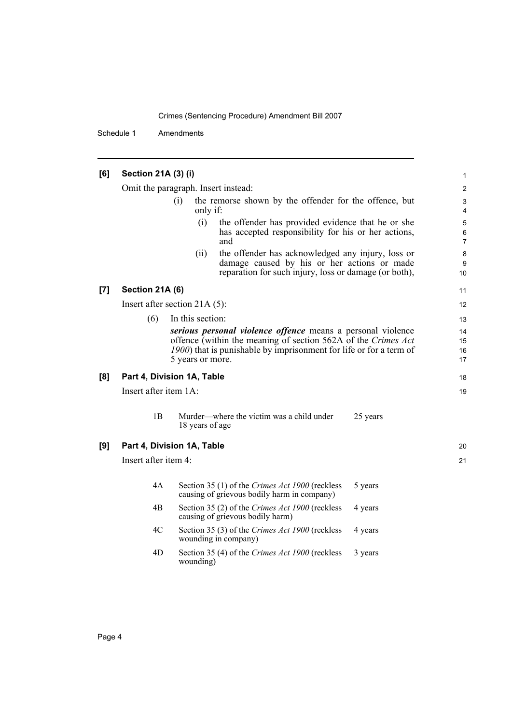Schedule 1 Amendments

### **[6] Section 21A (3) (i)**

Omit the paragraph. Insert instead:

| (i) | the remorse shown by the offender for the offence, but |  |  |  |  |  |
|-----|--------------------------------------------------------|--|--|--|--|--|
|     | only if:                                               |  |  |  |  |  |

- (i) the offender has provided evidence that he or she has accepted responsibility for his or her actions, and
- (ii) the offender has acknowledged any injury, loss or damage caused by his or her actions or made reparation for such injury, loss or damage (or both),

#### **[7] Section 21A (6)**

Insert after section 21A (5):

(6) In this section:

*serious personal violence offence* means a personal violence offence (within the meaning of section 562A of the *Crimes Act 1900*) that is punishable by imprisonment for life or for a term of 5 years or more.

#### **[8] Part 4, Division 1A, Table**

Insert after item 1A:

1B Murder—where the victim was a child under 18 years of age 25 years

#### **[9] Part 4, Division 1A, Table**

Insert after item 4:

| 4A | Section 35 (1) of the Crimes Act 1900 (reckless<br>causing of grievous bodily harm in company) | 5 years |
|----|------------------------------------------------------------------------------------------------|---------|
| 4B | Section 35 (2) of the Crimes Act 1900 (reckless<br>causing of grievous bodily harm)            | 4 years |
| 4C | Section 35 (3) of the Crimes Act 1900 (reckless<br>wounding in company)                        | 4 years |
| 4D | Section 35 (4) of the Crimes Act 1900 (reckless<br>wounding)                                   | 3 years |

20 21

18 19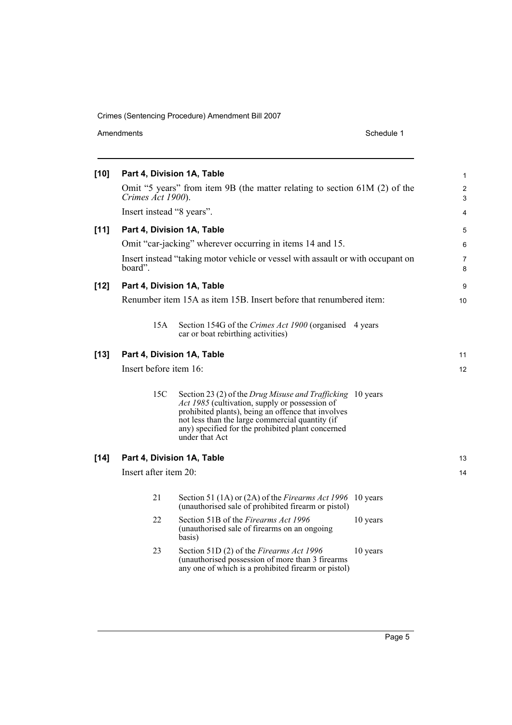| Amendments |  |  |  |  |
|------------|--|--|--|--|
|------------|--|--|--|--|

Schedule 1

| $[10]$ |                           | Part 4, Division 1A, Table                                                                                                                                                                                                                                                                   | 1                   |
|--------|---------------------------|----------------------------------------------------------------------------------------------------------------------------------------------------------------------------------------------------------------------------------------------------------------------------------------------|---------------------|
|        | Crimes Act 1900).         | Omit "5 years" from item 9B (the matter relating to section 61M (2) of the                                                                                                                                                                                                                   | $\overline{2}$<br>3 |
|        | Insert instead "8 years". |                                                                                                                                                                                                                                                                                              | 4                   |
| $[11]$ |                           | Part 4, Division 1A, Table                                                                                                                                                                                                                                                                   | 5                   |
|        |                           | Omit "car-jacking" wherever occurring in items 14 and 15.                                                                                                                                                                                                                                    | 6                   |
|        | board".                   | Insert instead "taking motor vehicle or vessel with assault or with occupant on                                                                                                                                                                                                              | 7<br>8              |
| $[12]$ |                           | Part 4, Division 1A, Table                                                                                                                                                                                                                                                                   | 9                   |
|        |                           | Renumber item 15A as item 15B. Insert before that renumbered item:                                                                                                                                                                                                                           | 10                  |
|        | 15A                       | Section 154G of the Crimes Act 1900 (organised 4 years<br>car or boat rebirthing activities)                                                                                                                                                                                                 |                     |
| $[13]$ |                           | Part 4, Division 1A, Table                                                                                                                                                                                                                                                                   | 11                  |
|        | Insert before item 16:    |                                                                                                                                                                                                                                                                                              | 12                  |
|        | 15C                       | Section 23 (2) of the Drug Misuse and Trafficking 10 years<br>Act 1985 (cultivation, supply or possession of<br>prohibited plants), being an offence that involves<br>not less than the large commercial quantity (if<br>any) specified for the prohibited plant concerned<br>under that Act |                     |
| $[14]$ |                           | Part 4, Division 1A, Table                                                                                                                                                                                                                                                                   | 13                  |
|        | Insert after item 20:     |                                                                                                                                                                                                                                                                                              | 14                  |
|        | 21                        | Section 51 (1A) or (2A) of the Firearms Act 1996 10 years<br>(unauthorised sale of prohibited firearm or pistol)                                                                                                                                                                             |                     |
|        | 22                        | Section 51B of the Firearms Act 1996<br>10 years<br>(unauthorised sale of firearms on an ongoing<br>basis)                                                                                                                                                                                   |                     |
|        | 23                        | Section 51D (2) of the Firearms Act 1996<br>10 years<br>(unauthorised possession of more than 3 firearms<br>any one of which is a prohibited firearm or pistol)                                                                                                                              |                     |